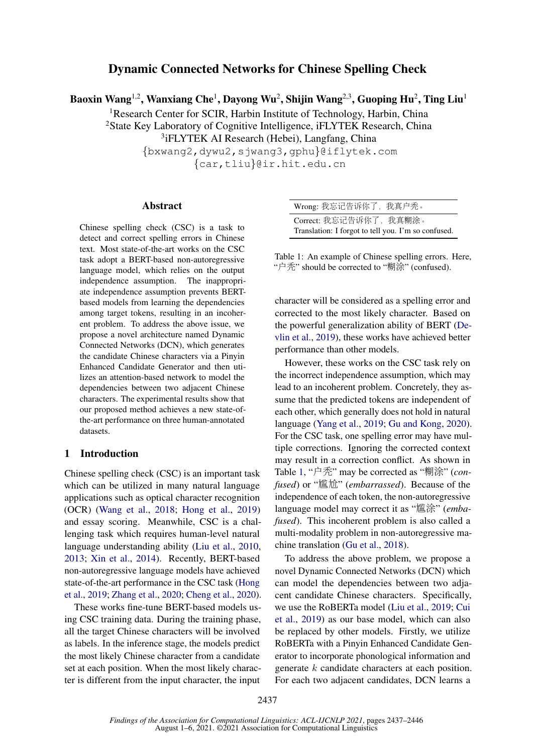# Dynamic Connected Networks for Chinese Spelling Check

Baoxin Wang $^{1,2}$ , Wanxiang Che $^{1}$ , Dayong Wu $^{2}$ , Shijin Wang $^{2,3}$ , Guoping Hu $^{2}$ , Ting Liu $^{1}$ 

<sup>1</sup>Research Center for SCIR, Harbin Institute of Technology, Harbin, China <sup>2</sup>State Key Laboratory of Cognitive Intelligence, iFLYTEK Research, China

<sup>3</sup>iFLYTEK AI Research (Hebei), Langfang, China

{bxwang2,dywu2,sjwang3,gphu}@iflytek.com {car,tliu}@ir.hit.edu.cn

# Abstract

Chinese spelling check (CSC) is a task to detect and correct spelling errors in Chinese text. Most state-of-the-art works on the CSC task adopt a BERT-based non-autoregressive language model, which relies on the output independence assumption. The inappropriate independence assumption prevents BERTbased models from learning the dependencies among target tokens, resulting in an incoherent problem. To address the above issue, we propose a novel architecture named Dynamic Connected Networks (DCN), which generates the candidate Chinese characters via a Pinyin Enhanced Candidate Generator and then utilizes an attention-based network to model the dependencies between two adjacent Chinese characters. The experimental results show that our proposed method achieves a new state-ofthe-art performance on three human-annotated datasets.

# 1 Introduction

Chinese spelling check (CSC) is an important task which can be utilized in many natural language applications such as optical character recognition (OCR) [\(Wang et al.,](#page-9-0) [2018;](#page-9-0) [Hong et al.,](#page-8-0) [2019\)](#page-8-0) and essay scoring. Meanwhile, CSC is a challenging task which requires human-level natural language understanding ability [\(Liu et al.,](#page-8-1) [2010,](#page-8-1) [2013;](#page-8-2) [Xin et al.,](#page-9-1) [2014\)](#page-9-1). Recently, BERT-based non-autoregressive language models have achieved state-of-the-art performance in the CSC task [\(Hong](#page-8-0) [et al.,](#page-8-0) [2019;](#page-8-0) [Zhang et al.,](#page-9-2) [2020;](#page-9-2) [Cheng et al.,](#page-8-3) [2020\)](#page-8-3).

These works fine-tune BERT-based models using CSC training data. During the training phase, all the target Chinese characters will be involved as labels. In the inference stage, the models predict the most likely Chinese character from a candidate set at each position. When the most likely character is different from the input character, the input

<span id="page-0-0"></span>

| Wrong: 我忘记告诉你了, 我真户秃。                               |
|-----------------------------------------------------|
| Correct: 我忘记告诉你了, 我真糊涂。                             |
| Translation: I forgot to tell you. I'm so confused. |

Table 1: An example of Chinese spelling errors. Here, "户秃" should be corrected to "糊涂" (confused).

character will be considered as a spelling error and corrected to the most likely character. Based on the powerful generalization ability of BERT [\(De](#page-8-4)[vlin et al.,](#page-8-4) [2019\)](#page-8-4), these works have achieved better performance than other models.

However, these works on the CSC task rely on the incorrect independence assumption, which may lead to an incoherent problem. Concretely, they assume that the predicted tokens are independent of each other, which generally does not hold in natural language [\(Yang et al.,](#page-9-3) [2019;](#page-9-3) [Gu and Kong,](#page-8-5) [2020\)](#page-8-5). For the CSC task, one spelling error may have multiple corrections. Ignoring the corrected context may result in a correction conflict. As shown in Table [1,](#page-0-0) "户秃" may be corrected as "糊涂" (*confused*) or "尴尬" (*embarrassed*). Because of the independence of each token, the non-autoregressive language model may correct it as "尴涂" (*embafused*). This incoherent problem is also called a multi-modality problem in non-autoregressive machine translation [\(Gu et al.,](#page-8-6) [2018\)](#page-8-6).

To address the above problem, we propose a novel Dynamic Connected Networks (DCN) which can model the dependencies between two adjacent candidate Chinese characters. Specifically, we use the RoBERTa model [\(Liu et al.,](#page-8-7) [2019;](#page-8-7) [Cui](#page-8-8) [et al.,](#page-8-8) [2019\)](#page-8-8) as our base model, which can also be replaced by other models. Firstly, we utilize RoBERTa with a Pinyin Enhanced Candidate Generator to incorporate phonological information and generate k candidate characters at each position. For each two adjacent candidates, DCN learns a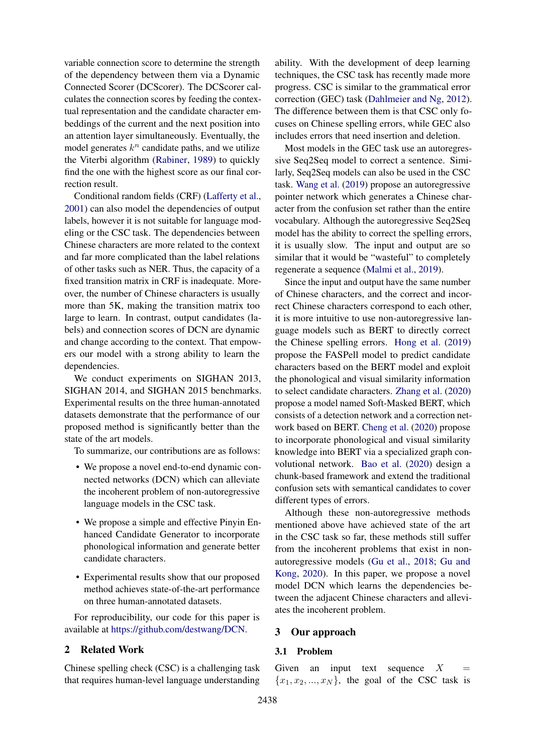variable connection score to determine the strength of the dependency between them via a Dynamic Connected Scorer (DCScorer). The DCScorer calculates the connection scores by feeding the contextual representation and the candidate character embeddings of the current and the next position into an attention layer simultaneously. Eventually, the model generates  $k^n$  candidate paths, and we utilize the Viterbi algorithm [\(Rabiner,](#page-9-4) [1989\)](#page-9-4) to quickly find the one with the highest score as our final correction result.

Conditional random fields (CRF) [\(Lafferty et al.,](#page-8-9) [2001\)](#page-8-9) can also model the dependencies of output labels, however it is not suitable for language modeling or the CSC task. The dependencies between Chinese characters are more related to the context and far more complicated than the label relations of other tasks such as NER. Thus, the capacity of a fixed transition matrix in CRF is inadequate. Moreover, the number of Chinese characters is usually more than 5K, making the transition matrix too large to learn. In contrast, output candidates (labels) and connection scores of DCN are dynamic and change according to the context. That empowers our model with a strong ability to learn the dependencies.

We conduct experiments on SIGHAN 2013, SIGHAN 2014, and SIGHAN 2015 benchmarks. Experimental results on the three human-annotated datasets demonstrate that the performance of our proposed method is significantly better than the state of the art models.

To summarize, our contributions are as follows:

- We propose a novel end-to-end dynamic connected networks (DCN) which can alleviate the incoherent problem of non-autoregressive language models in the CSC task.
- We propose a simple and effective Pinyin Enhanced Candidate Generator to incorporate phonological information and generate better candidate characters.
- Experimental results show that our proposed method achieves state-of-the-art performance on three human-annotated datasets.

For reproducibility, our code for this paper is available at [https://github.com/destwang/DCN.](https://github.com/destwang/DCN)

# 2 Related Work

Chinese spelling check (CSC) is a challenging task that requires human-level language understanding

ability. With the development of deep learning techniques, the CSC task has recently made more progress. CSC is similar to the grammatical error correction (GEC) task [\(Dahlmeier and Ng,](#page-8-10) [2012\)](#page-8-10). The difference between them is that CSC only focuses on Chinese spelling errors, while GEC also includes errors that need insertion and deletion.

Most models in the GEC task use an autoregressive Seq2Seq model to correct a sentence. Similarly, Seq2Seq models can also be used in the CSC task. [Wang et al.](#page-9-5) [\(2019\)](#page-9-5) propose an autoregressive pointer network which generates a Chinese character from the confusion set rather than the entire vocabulary. Although the autoregressive Seq2Seq model has the ability to correct the spelling errors, it is usually slow. The input and output are so similar that it would be "wasteful" to completely regenerate a sequence [\(Malmi et al.,](#page-9-6) [2019\)](#page-9-6).

Since the input and output have the same number of Chinese characters, and the correct and incorrect Chinese characters correspond to each other, it is more intuitive to use non-autoregressive language models such as BERT to directly correct the Chinese spelling errors. [Hong et al.](#page-8-0) [\(2019\)](#page-8-0) propose the FASPell model to predict candidate characters based on the BERT model and exploit the phonological and visual similarity information to select candidate characters. [Zhang et al.](#page-9-2) [\(2020\)](#page-9-2) propose a model named Soft-Masked BERT, which consists of a detection network and a correction network based on BERT. [Cheng et al.](#page-8-3) [\(2020\)](#page-8-3) propose to incorporate phonological and visual similarity knowledge into BERT via a specialized graph convolutional network. [Bao et al.](#page-8-11) [\(2020\)](#page-8-11) design a chunk-based framework and extend the traditional confusion sets with semantical candidates to cover different types of errors.

Although these non-autoregressive methods mentioned above have achieved state of the art in the CSC task so far, these methods still suffer from the incoherent problems that exist in nonautoregressive models [\(Gu et al.,](#page-8-6) [2018;](#page-8-6) [Gu and](#page-8-5) [Kong,](#page-8-5) [2020\)](#page-8-5). In this paper, we propose a novel model DCN which learns the dependencies between the adjacent Chinese characters and alleviates the incoherent problem.

# 3 Our approach

# 3.1 Problem

Given an input text sequence  $X =$  ${x_1, x_2, ..., x_N}$ , the goal of the CSC task is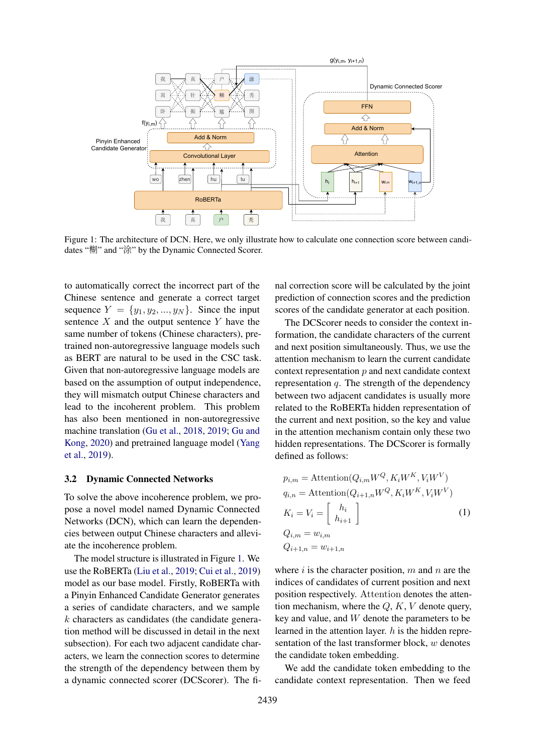<span id="page-2-0"></span>

Figure 1: The architecture of DCN. Here, we only illustrate how to calculate one connection score between candidates "糊" and "涂" by the Dynamic Connected Scorer.

to automatically correct the incorrect part of the Chinese sentence and generate a correct target sequence  $Y = \{y_1, y_2, ..., y_N\}$ . Since the input sentence  $X$  and the output sentence  $Y$  have the same number of tokens (Chinese characters), pretrained non-autoregressive language models such as BERT are natural to be used in the CSC task. Given that non-autoregressive language models are based on the assumption of output independence, they will mismatch output Chinese characters and lead to the incoherent problem. This problem has also been mentioned in non-autoregressive machine translation [\(Gu et al.,](#page-8-6) [2018,](#page-8-6) [2019;](#page-8-12) [Gu and](#page-8-5) [Kong,](#page-8-5) [2020\)](#page-8-5) and pretrained language model [\(Yang](#page-9-3) [et al.,](#page-9-3) [2019\)](#page-9-3).

### 3.2 Dynamic Connected Networks

To solve the above incoherence problem, we propose a novel model named Dynamic Connected Networks (DCN), which can learn the dependencies between output Chinese characters and alleviate the incoherence problem.

The model structure is illustrated in Figure [1.](#page-2-0) We use the RoBERTa [\(Liu et al.,](#page-8-7) [2019;](#page-8-7) [Cui et al.,](#page-8-8) [2019\)](#page-8-8) model as our base model. Firstly, RoBERTa with a Pinyin Enhanced Candidate Generator generates a series of candidate characters, and we sample  $k$  characters as candidates (the candidate generation method will be discussed in detail in the next subsection). For each two adjacent candidate characters, we learn the connection scores to determine the strength of the dependency between them by a dynamic connected scorer (DCScorer). The fi-

nal correction score will be calculated by the joint prediction of connection scores and the prediction scores of the candidate generator at each position.

The DCScorer needs to consider the context information, the candidate characters of the current and next position simultaneously. Thus, we use the attention mechanism to learn the current candidate context representation  $p$  and next candidate context representation  $q$ . The strength of the dependency between two adjacent candidates is usually more related to the RoBERTa hidden representation of the current and next position, so the key and value in the attention mechanism contain only these two hidden representations. The DCScorer is formally defined as follows:

$$
p_{i,m} = \text{Attention}(Q_{i,m}W^Q, K_iW^K, V_iW^V)
$$
  
\n
$$
q_{i,n} = \text{Attention}(Q_{i+1,n}W^Q, K_iW^K, V_iW^V)
$$
  
\n
$$
K_i = V_i = \begin{bmatrix} h_i \\ h_{i+1} \end{bmatrix}
$$
  
\n
$$
Q_{i,m} = w_{i,m}
$$
  
\n
$$
Q_{i+1,n} = w_{i+1,n}
$$
  
\n(1)

where  $i$  is the character position,  $m$  and  $n$  are the indices of candidates of current position and next position respectively. Attention denotes the attention mechanism, where the  $Q, K, V$  denote query, key and value, and  $W$  denote the parameters to be learned in the attention layer.  $h$  is the hidden representation of the last transformer block, w denotes the candidate token embedding.

We add the candidate token embedding to the candidate context representation. Then we feed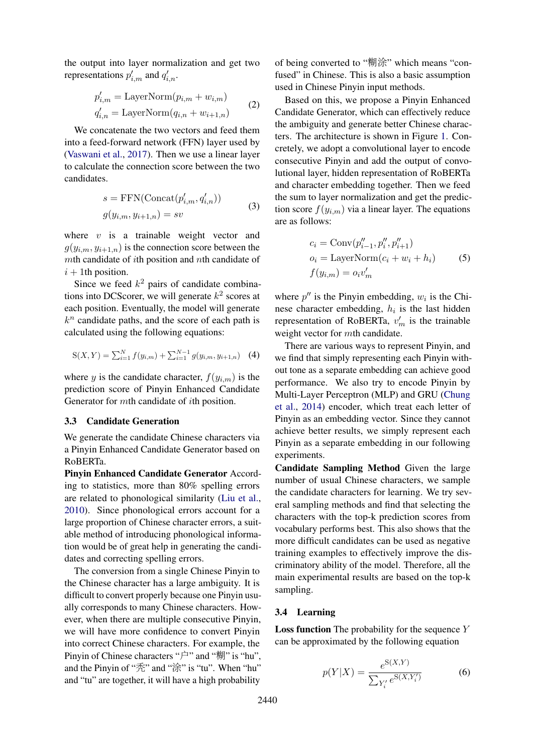the output into layer normalization and get two representations  $p'_{i,m}$  and  $q'_{i,n}$ .

$$
p'_{i,m} = \text{LayerNorm}(p_{i,m} + w_{i,m})
$$
  
\n
$$
q'_{i,n} = \text{LayerNorm}(q_{i,n} + w_{i+1,n})
$$
\n(2)

We concatenate the two vectors and feed them into a feed-forward network (FFN) layer used by [\(Vaswani et al.,](#page-9-7) [2017\)](#page-9-7). Then we use a linear layer to calculate the connection score between the two candidates.

$$
s = \text{FFN}(\text{Concat}(p'_{i,m}, q'_{i,n}))
$$
  

$$
g(y_{i,m}, y_{i+1,n}) = sv
$$
 (3)

where  $v$  is a trainable weight vector and  $g(y_{i,m}, y_{i+1,n})$  is the connection score between the  $m$ th candidate of *i*th position and  $n$ th candidate of  $i + 1$ th position.

Since we feed  $k^2$  pairs of candidate combinations into DCScorer, we will generate  $k^2$  scores at each position. Eventually, the model will generate  $k^n$  candidate paths, and the score of each path is calculated using the following equations:

$$
S(X,Y) = \sum_{i=1}^{N} f(y_{i,m}) + \sum_{i=1}^{N-1} g(y_{i,m}, y_{i+1,n})
$$
 (4)

where y is the candidate character,  $f(y_{i,m})$  is the prediction score of Pinyin Enhanced Candidate Generator for mth candidate of ith position.

#### 3.3 Candidate Generation

We generate the candidate Chinese characters via a Pinyin Enhanced Candidate Generator based on RoBERTa.

Pinyin Enhanced Candidate Generator According to statistics, more than 80% spelling errors are related to phonological similarity [\(Liu et al.,](#page-8-1) [2010\)](#page-8-1). Since phonological errors account for a large proportion of Chinese character errors, a suitable method of introducing phonological information would be of great help in generating the candidates and correcting spelling errors.

The conversion from a single Chinese Pinyin to the Chinese character has a large ambiguity. It is difficult to convert properly because one Pinyin usually corresponds to many Chinese characters. However, when there are multiple consecutive Pinyin, we will have more confidence to convert Pinyin into correct Chinese characters. For example, the Pinyin of Chinese characters "户" and "糊" is "hu", and the Pinyin of "秃" and "涂" is "tu". When "hu" and "tu" are together, it will have a high probability

of being converted to "糊涂" which means "confused" in Chinese. This is also a basic assumption used in Chinese Pinyin input methods.

Based on this, we propose a Pinyin Enhanced Candidate Generator, which can effectively reduce the ambiguity and generate better Chinese characters. The architecture is shown in Figure [1.](#page-2-0) Concretely, we adopt a convolutional layer to encode consecutive Pinyin and add the output of convolutional layer, hidden representation of RoBERTa and character embedding together. Then we feed the sum to layer normalization and get the prediction score  $f(y_{i,m})$  via a linear layer. The equations are as follows:

$$
c_i = \text{Conv}(p''_{i-1}, p''_i, p''_{i+1})
$$
  
\n
$$
o_i = \text{LayerNorm}(c_i + w_i + h_i)
$$
 (5)  
\n
$$
f(y_{i,m}) = o_i v'_m
$$

where  $p''$  is the Pinyin embedding,  $w_i$  is the Chinese character embedding,  $h_i$  is the last hidden representation of RoBERTa,  $v'_m$  is the trainable weight vector for mth candidate.

There are various ways to represent Pinyin, and we find that simply representing each Pinyin without tone as a separate embedding can achieve good performance. We also try to encode Pinyin by Multi-Layer Perceptron (MLP) and GRU [\(Chung](#page-8-13) [et al.,](#page-8-13) [2014\)](#page-8-13) encoder, which treat each letter of Pinyin as an embedding vector. Since they cannot achieve better results, we simply represent each Pinyin as a separate embedding in our following experiments.

Candidate Sampling Method Given the large number of usual Chinese characters, we sample the candidate characters for learning. We try several sampling methods and find that selecting the characters with the top-k prediction scores from vocabulary performs best. This also shows that the more difficult candidates can be used as negative training examples to effectively improve the discriminatory ability of the model. Therefore, all the main experimental results are based on the top-k sampling.

# 3.4 Learning

**Loss function** The probability for the sequence  $Y$ can be approximated by the following equation

$$
p(Y|X) = \frac{e^{S(X,Y)}}{\sum_{Y'_i} e^{S(X,Y'_i)}}\tag{6}
$$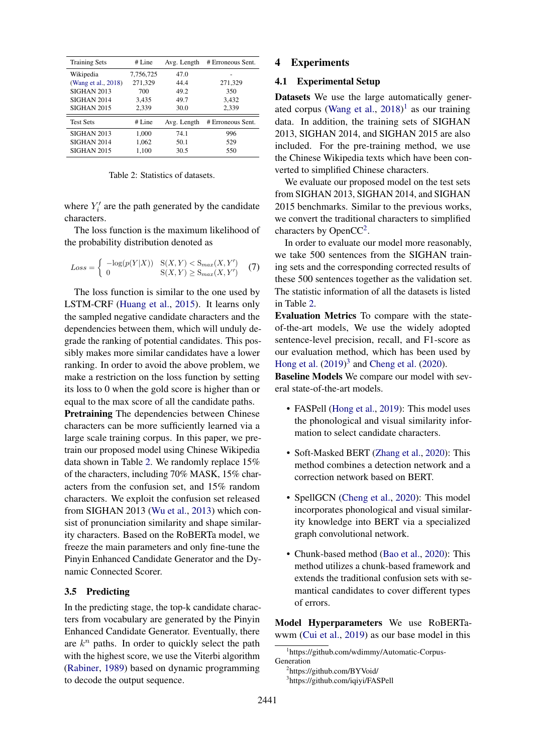<span id="page-4-0"></span>

| <b>Training Sets</b> | # Line    | Avg. Length | # Erroneous Sent. |  |  |  |  |
|----------------------|-----------|-------------|-------------------|--|--|--|--|
| Wikipedia            | 7,756,725 | 47.0        |                   |  |  |  |  |
| (Wang et al., 2018)  | 271,329   | 44.4        | 271,329           |  |  |  |  |
| <b>SIGHAN 2013</b>   | 700       | 49.2        | 350               |  |  |  |  |
| <b>SIGHAN 2014</b>   | 3,435     | 49.7        | 3,432             |  |  |  |  |
| SIGHAN 2015          | 2.339     | 30.0        | 2,339             |  |  |  |  |
| <b>Test Sets</b>     | # Line    | Avg. Length | # Erroneous Sent. |  |  |  |  |
| SIGHAN 2013          | 1,000     | 74.1        | 996               |  |  |  |  |
| <b>SIGHAN 2014</b>   | 1,062     | 50.1        | 529               |  |  |  |  |
| SIGHAN 2015          | 1,100     | 30.5        | 550               |  |  |  |  |

Table 2: Statistics of datasets.

where  $Y_i'$  are the path generated by the candidate characters.

The loss function is the maximum likelihood of the probability distribution denoted as

$$
Loss = \begin{cases} -\log(p(Y|X)) & \text{S}(X, Y) < \text{S}_{max}(X, Y')\\ 0 & \text{S}(X, Y) \ge \text{S}_{max}(X, Y') \end{cases} \tag{7}
$$

The loss function is similar to the one used by LSTM-CRF [\(Huang et al.,](#page-8-14) [2015\)](#page-8-14). It learns only the sampled negative candidate characters and the dependencies between them, which will unduly degrade the ranking of potential candidates. This possibly makes more similar candidates have a lower ranking. In order to avoid the above problem, we make a restriction on the loss function by setting its loss to 0 when the gold score is higher than or equal to the max score of all the candidate paths.

Pretraining The dependencies between Chinese characters can be more sufficiently learned via a large scale training corpus. In this paper, we pretrain our proposed model using Chinese Wikipedia data shown in Table [2.](#page-4-0) We randomly replace 15% of the characters, including 70% MASK, 15% characters from the confusion set, and 15% random characters. We exploit the confusion set released from SIGHAN 2013 [\(Wu et al.,](#page-9-8) [2013\)](#page-9-8) which consist of pronunciation similarity and shape similarity characters. Based on the RoBERTa model, we freeze the main parameters and only fine-tune the Pinyin Enhanced Candidate Generator and the Dynamic Connected Scorer.

# 3.5 Predicting

In the predicting stage, the top-k candidate characters from vocabulary are generated by the Pinyin Enhanced Candidate Generator. Eventually, there are  $k^n$  paths. In order to quickly select the path with the highest score, we use the Viterbi algorithm [\(Rabiner,](#page-9-4) [1989\)](#page-9-4) based on dynamic programming to decode the output sequence.

# 4 Experiments

### 4.1 Experimental Setup

Datasets We use the large automatically generated corpus [\(Wang et al.,](#page-9-0) [2018\)](#page-9-0) [1](#page-4-1) as our training data. In addition, the training sets of SIGHAN 2013, SIGHAN 2014, and SIGHAN 2015 are also included. For the pre-training method, we use the Chinese Wikipedia texts which have been converted to simplified Chinese characters.

We evaluate our proposed model on the test sets from SIGHAN 2013, SIGHAN 2014, and SIGHAN 2015 benchmarks. Similar to the previous works, we convert the traditional characters to simplified characters by Open $CC<sup>2</sup>$  $CC<sup>2</sup>$  $CC<sup>2</sup>$ .

In order to evaluate our model more reasonably, we take 500 sentences from the SIGHAN training sets and the corresponding corrected results of these 500 sentences together as the validation set. The statistic information of all the datasets is listed in Table [2.](#page-4-0)

Evaluation Metrics To compare with the stateof-the-art models, We use the widely adopted sentence-level precision, recall, and F1-score as our evaluation method, which has been used by [Hong et al.](#page-8-0) [\(2019\)](#page-8-0) [3](#page-4-3) and [Cheng et al.](#page-8-3) [\(2020\)](#page-8-3).

Baseline Models We compare our model with several state-of-the-art models.

- FASPell [\(Hong et al.,](#page-8-0) [2019\)](#page-8-0): This model uses the phonological and visual similarity information to select candidate characters.
- Soft-Masked BERT [\(Zhang et al.,](#page-9-2) [2020\)](#page-9-2): This method combines a detection network and a correction network based on BERT.
- SpellGCN [\(Cheng et al.,](#page-8-3) [2020\)](#page-8-3): This model incorporates phonological and visual similarity knowledge into BERT via a specialized graph convolutional network.
- Chunk-based method [\(Bao et al.,](#page-8-11) [2020\)](#page-8-11): This method utilizes a chunk-based framework and extends the traditional confusion sets with semantical candidates to cover different types of errors.

Model Hyperparameters We use RoBERTawwm [\(Cui et al.,](#page-8-8) [2019\)](#page-8-8) as our base model in this

<span id="page-4-1"></span><sup>1</sup> https://github.com/wdimmy/Automatic-Corpus-Generation

<span id="page-4-2"></span><sup>2</sup> https://github.com/BYVoid/

<span id="page-4-3"></span><sup>3</sup> https://github.com/iqiyi/FASPell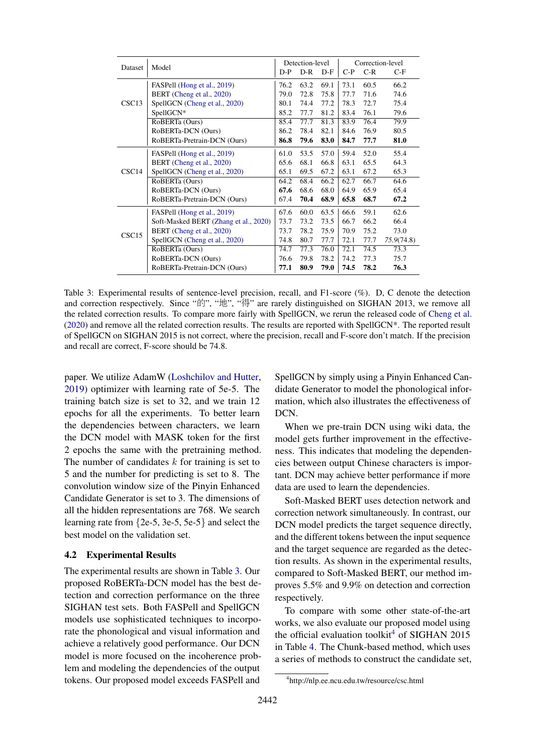<span id="page-5-0"></span>

|                   |                                       |       | Detection-level |       | Correction-level |       |            |  |  |
|-------------------|---------------------------------------|-------|-----------------|-------|------------------|-------|------------|--|--|
| Dataset           | Model                                 | $D-P$ | $D-R$           | $D-F$ | $C-P$            | $C-R$ | $C-F$      |  |  |
|                   | FASPell (Hong et al., 2019)           | 76.2  | 63.2            | 69.1  | 73.1             | 60.5  | 66.2       |  |  |
|                   | BERT (Cheng et al., 2020)             | 79.0  | 72.8            | 75.8  | 77.7             | 71.6  | 74.6       |  |  |
| CSC <sub>13</sub> | SpellGCN (Cheng et al., 2020)         | 80.1  | 74.4            | 77.2  | 78.3             | 72.7  | 75.4       |  |  |
|                   | SpellGCN*                             | 85.2  | 77.7            | 81.2  | 83.4             | 76.1  | 79.6       |  |  |
|                   | RoBERTa (Ours)                        | 85.4  | 77.7            | 81.3  | 83.9             | 76.4  | 79.9       |  |  |
|                   | RoBERTa-DCN (Ours)                    | 86.2  | 78.4            | 82.1  | 84.6             | 76.9  | 80.5       |  |  |
|                   | RoBERTa-Pretrain-DCN (Ours)           | 86.8  | 79.6            | 83.0  | 84.7             | 77.7  | 81.0       |  |  |
|                   | FASPell (Hong et al., 2019)           | 61.0  | 53.5            | 57.0  | 59.4             | 52.0  | 55.4       |  |  |
|                   | BERT (Cheng et al., 2020)             | 65.6  | 68.1            | 66.8  | 63.1             | 65.5  | 64.3       |  |  |
| CSC14             | SpellGCN (Cheng et al., 2020)         | 65.1  | 69.5            | 67.2  | 63.1             | 67.2  | 65.3       |  |  |
|                   | RoBERTa (Ours)                        | 64.2  | 68.4            | 66.2  | 62.7             | 66.7  | 64.6       |  |  |
|                   | RoBERTa-DCN (Ours)                    | 67.6  | 68.6            | 68.0  | 64.9             | 65.9  | 65.4       |  |  |
|                   | RoBERTa-Pretrain-DCN (Ours)           | 67.4  | 70.4            | 68.9  | 65.8             | 68.7  | 67.2       |  |  |
|                   | FASPell (Hong et al., 2019)           | 67.6  | 60.0            | 63.5  | 66.6             | 59.1  | 62.6       |  |  |
|                   | Soft-Masked BERT (Zhang et al., 2020) | 73.7  | 73.2            | 73.5  | 66.7             | 66.2  | 66.4       |  |  |
| CSC15             | BERT (Cheng et al., 2020)             | 73.7  | 78.2            | 75.9  | 70.9             | 75.2  | 73.0       |  |  |
|                   | SpellGCN (Cheng et al., 2020)         | 74.8  | 80.7            | 77.7  | 72.1             | 77.7  | 75.9(74.8) |  |  |
|                   | RoBERTa (Ours)                        | 74.7  | 77.3            | 76.0  | 72.1             | 74.5  | 73.3       |  |  |
|                   | RoBERTa-DCN (Ours)                    | 76.6  | 79.8            | 78.2  | 74.2             | 77.3  | 75.7       |  |  |
|                   | RoBERTa-Pretrain-DCN (Ours)           | 77.1  | 80.9            | 79.0  | 74.5             | 78.2  | 76.3       |  |  |

Table 3: Experimental results of sentence-level precision, recall, and F1-score (%). D, C denote the detection and correction respectively. Since "的", "地", "得" are rarely distinguished on SIGHAN 2013, we remove all the related correction results. To compare more fairly with SpellGCN, we rerun the released code of [Cheng et al.](#page-8-3) [\(2020\)](#page-8-3) and remove all the related correction results. The results are reported with SpellGCN\*. The reported result of SpellGCN on SIGHAN 2015 is not correct, where the precision, recall and F-score don't match. If the precision and recall are correct, F-score should be 74.8.

paper. We utilize AdamW [\(Loshchilov and Hutter,](#page-8-15) [2019\)](#page-8-15) optimizer with learning rate of 5e-5. The training batch size is set to 32, and we train 12 epochs for all the experiments. To better learn the dependencies between characters, we learn the DCN model with MASK token for the first 2 epochs the same with the pretraining method. The number of candidates  $k$  for training is set to 5 and the number for predicting is set to 8. The convolution window size of the Pinyin Enhanced Candidate Generator is set to 3. The dimensions of all the hidden representations are 768. We search learning rate from {2e-5, 3e-5, 5e-5} and select the best model on the validation set.

# 4.2 Experimental Results

The experimental results are shown in Table [3.](#page-5-0) Our proposed RoBERTa-DCN model has the best detection and correction performance on the three SIGHAN test sets. Both FASPell and SpellGCN models use sophisticated techniques to incorporate the phonological and visual information and achieve a relatively good performance. Our DCN model is more focused on the incoherence problem and modeling the dependencies of the output tokens. Our proposed model exceeds FASPell and

SpellGCN by simply using a Pinyin Enhanced Candidate Generator to model the phonological information, which also illustrates the effectiveness of DCN.

When we pre-train DCN using wiki data, the model gets further improvement in the effectiveness. This indicates that modeling the dependencies between output Chinese characters is important. DCN may achieve better performance if more data are used to learn the dependencies.

Soft-Masked BERT uses detection network and correction network simultaneously. In contrast, our DCN model predicts the target sequence directly, and the different tokens between the input sequence and the target sequence are regarded as the detection results. As shown in the experimental results, compared to Soft-Masked BERT, our method improves 5.5% and 9.9% on detection and correction respectively.

To compare with some other state-of-the-art works, we also evaluate our proposed model using the official evaluation toolkit<sup>[4](#page-5-1)</sup> of SIGHAN 2015 in Table [4.](#page-6-0) The Chunk-based method, which uses a series of methods to construct the candidate set,

<span id="page-5-1"></span><sup>4</sup> http://nlp.ee.ncu.edu.tw/resource/csc.html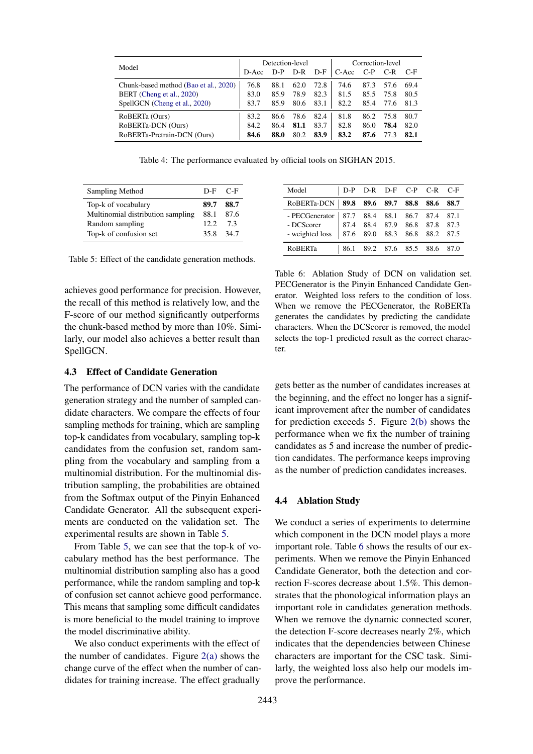<span id="page-6-0"></span>

| Model                                 |       | Detection-level |      |       | Correction-level |       |      |      |  |  |
|---------------------------------------|-------|-----------------|------|-------|------------------|-------|------|------|--|--|
|                                       | D-Acc | D-P             | D-R  | $D-F$ | C-Acc            | $C-P$ | C-R  | C-F  |  |  |
| Chunk-based method (Bao et al., 2020) | 76.8  | 88.1            | 62.0 | 72.8  | 74.6             | 87.3  | 57.6 | 69.4 |  |  |
| BERT (Cheng et al., 2020)             | 83.0  | 85.9            | 78.9 | 82.3  | 81.5             | 85.5  | 75.8 | 80.5 |  |  |
| SpellGCN (Cheng et al., 2020)         | 83.7  | 85.9            | 80.6 | 83.1  | 82.2             | 85.4  | 77.6 | 81.3 |  |  |
| RoBERTa (Ours)                        | 83.2  | 86.6            | 78.6 | 82.4  | 81.8             | 86.2  | 75.8 | 80.7 |  |  |
| RoBERTa-DCN (Ours)                    | 84.2  | 86.4            | 81.1 | 83.7  | 82.8             | 86.0  | 78.4 | 82.0 |  |  |
| RoBERTa-Pretrain-DCN (Ours)           | 84.6  | 88.0            | 80.2 | 83.9  | 83.2             | 87.6  | 77.  | 82.1 |  |  |

Table 4: The performance evaluated by official tools on SIGHAN 2015.

<span id="page-6-1"></span>

| Sampling Method                   |         | D-F C-F |
|-----------------------------------|---------|---------|
| Top-k of vocabulary               | 89.7    | - 88.7  |
| Multinomial distribution sampling | 88.1    | 87.6    |
| Random sampling                   | 12.2    | -73     |
| Top-k of confusion set            | 358 347 |         |

Table 5: Effect of the candidate generation methods.

achieves good performance for precision. However, the recall of this method is relatively low, and the F-score of our method significantly outperforms the chunk-based method by more than 10%. Similarly, our model also achieves a better result than SpellGCN.

<span id="page-6-2"></span>Model D-P D-R D-F C-P C-R C-F RoBERTa-DCN 89.8 89.6 89.7 88.8 88.6 88.7 - PECGenerator | 87.7 88.4 88.1 86.7 87.4 87.1 - DCScorer 87.4 88.4 87.9 86.8 87.8 87.3 - weighted loss 87.6 89.0 88.3 86.8 88.2 87.5 RoBERTa | 86.1 89.2 87.6 85.5 88.6 87.0

Table 6: Ablation Study of DCN on validation set. PECGenerator is the Pinyin Enhanced Candidate Generator. Weighted loss refers to the condition of loss. When we remove the PECGenerator, the RoBERTa generates the candidates by predicting the candidate characters. When the DCScorer is removed, the model selects the top-1 predicted result as the correct character.

#### 4.3 Effect of Candidate Generation

The performance of DCN varies with the candidate generation strategy and the number of sampled candidate characters. We compare the effects of four sampling methods for training, which are sampling top-k candidates from vocabulary, sampling top-k candidates from the confusion set, random sampling from the vocabulary and sampling from a multinomial distribution. For the multinomial distribution sampling, the probabilities are obtained from the Softmax output of the Pinyin Enhanced Candidate Generator. All the subsequent experiments are conducted on the validation set. The experimental results are shown in Table [5.](#page-6-1)

From Table [5,](#page-6-1) we can see that the top-k of vocabulary method has the best performance. The multinomial distribution sampling also has a good performance, while the random sampling and top-k of confusion set cannot achieve good performance. This means that sampling some difficult candidates is more beneficial to the model training to improve the model discriminative ability.

We also conduct experiments with the effect of the number of candidates. Figure  $2(a)$  shows the change curve of the effect when the number of candidates for training increase. The effect gradually

gets better as the number of candidates increases at the beginning, and the effect no longer has a significant improvement after the number of candidates for prediction exceeds 5. Figure [2\(b\)](#page-7-1) shows the performance when we fix the number of training candidates as 5 and increase the number of prediction candidates. The performance keeps improving as the number of prediction candidates increases.

#### 4.4 Ablation Study

We conduct a series of experiments to determine which component in the DCN model plays a more important role. Table [6](#page-6-2) shows the results of our experiments. When we remove the Pinyin Enhanced Candidate Generator, both the detection and correction F-scores decrease about 1.5%. This demonstrates that the phonological information plays an important role in candidates generation methods. When we remove the dynamic connected scorer, the detection F-score decreases nearly 2%, which indicates that the dependencies between Chinese characters are important for the CSC task. Similarly, the weighted loss also help our models improve the performance.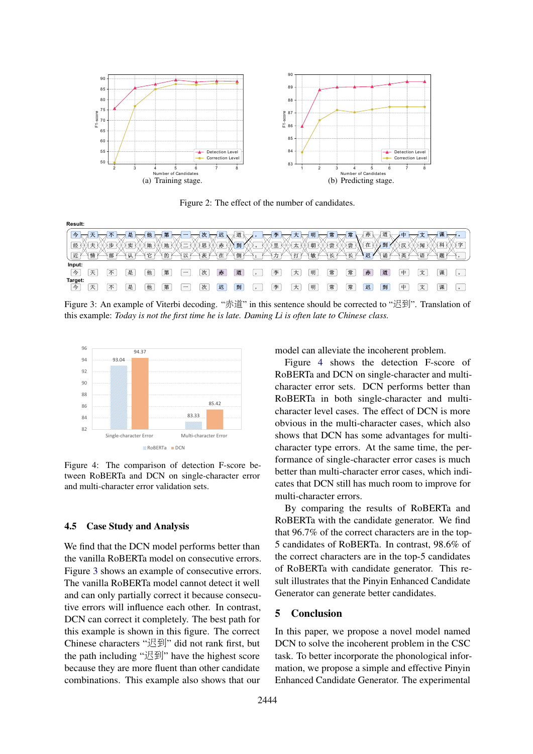<span id="page-7-0"></span>

<span id="page-7-1"></span>Figure 2: The effect of the number of candidates.

<span id="page-7-2"></span>

| Result:      |                   |   |             |                    |                         |                          |                           |                      |                      |                       |                           |                   |                        |              |                     |                                          |                |            |                      |                 |         |
|--------------|-------------------|---|-------------|--------------------|-------------------------|--------------------------|---------------------------|----------------------|----------------------|-----------------------|---------------------------|-------------------|------------------------|--------------|---------------------|------------------------------------------|----------------|------------|----------------------|-----------------|---------|
|              |                   |   |             |                    | 第                       | w                        | 次<br>77 F                 | 迟                    | ▽道<br>1.1.1.1.1<br>. |                       | 李                         | ノート<br>39         | 明                      | 常<br>OC.     | 常                   | 赤<br>                                    | しょう 道          | 由          |                      |                 |         |
| 经            | $\pm$<br>         | 步 | 实<br>.<br>  | 她                  | 地<br>.<br>dia.<br>-7555 | $\overline{\phantom{a}}$ | 思<br>KX)<br><b>Pr. 5.</b> | ___<br>赤<br>المتوسين | 到                    | K¥N.<br>$\circ$<br>Αń | ₩¥<br>里<br>12. MA<br>725. | 太隐<br>松东洋<br>n an | 朝<br>K.M.N             | 尝检<br>-K.W.N | 尝                   | 在                                        | 到<br>1.1.1.1.1 | 汉<br>1.11  | 徐輝<br>长大才            | 1和<br>1.1.1.1.1 | 享       |
| 近            | 情<br>.<br>1.1.1.1 | 部 | 认<br>.<br>. | 当官ト<br><b>K. 3</b> | 的<br>.                  | 以<br>1.1.1.1.1           | - 茨 ドート                   | 在<br>.               | 倒                    | .                     | 一行<br>- K. 34<br>.        | $\pm$ T<br>.      | "一敏<br><b>F</b> ------ | 【长丫——】       | $\overline{K}$<br>⊳ | 迟<br><b><i>P.A.A</i></b><br>. <b>. .</b> | 1诵1            | 再<br>.<br> | 语<br><b>Kongress</b> | 题<br>1.1.1.1.1  |         |
| Input:<br>今  | 天                 | 不 | 是           | 他                  | 第                       | $\overline{\phantom{a}}$ | 次                         | 赤                    | 道                    |                       | 李                         | 大                 | 明                      | 常            | 常                   | 赤                                        | 道              | 中          | 文                    | 课               | $\circ$ |
| Target:<br>今 | $-$<br>大          | 不 | 是           | 他                  | 第                       | $\overline{\phantom{a}}$ | 次                         | 迟                    | 到                    |                       | 李                         | 大                 | 明                      | 常            | 常                   | 迟                                        | 到              | 由          | 文                    | 课               | $\circ$ |

Figure 3: An example of Viterbi decoding. "赤道" in this sentence should be corrected to "迟到". Translation of this example: *Today is not the first time he is late. Daming Li is often late to Chinese class.*

<span id="page-7-3"></span>

Figure 4: The comparison of detection F-score between RoBERTa and DCN on single-character error and multi-character error validation sets.

# 4.5 Case Study and Analysis

We find that the DCN model performs better than the vanilla RoBERTa model on consecutive errors. Figure [3](#page-7-2) shows an example of consecutive errors. The vanilla RoBERTa model cannot detect it well and can only partially correct it because consecutive errors will influence each other. In contrast, DCN can correct it completely. The best path for this example is shown in this figure. The correct Chinese characters "迟到" did not rank first, but the path including "迟到" have the highest score because they are more fluent than other candidate combinations. This example also shows that our

model can alleviate the incoherent problem.

Figure [4](#page-7-3) shows the detection F-score of RoBERTa and DCN on single-character and multicharacter error sets. DCN performs better than RoBERTa in both single-character and multicharacter level cases. The effect of DCN is more obvious in the multi-character cases, which also shows that DCN has some advantages for multicharacter type errors. At the same time, the performance of single-character error cases is much better than multi-character error cases, which indicates that DCN still has much room to improve for multi-character errors.

By comparing the results of RoBERTa and RoBERTa with the candidate generator. We find that 96.7% of the correct characters are in the top-5 candidates of RoBERTa. In contrast, 98.6% of the correct characters are in the top-5 candidates of RoBERTa with candidate generator. This result illustrates that the Pinyin Enhanced Candidate Generator can generate better candidates.

# 5 Conclusion

In this paper, we propose a novel model named DCN to solve the incoherent problem in the CSC task. To better incorporate the phonological information, we propose a simple and effective Pinyin Enhanced Candidate Generator. The experimental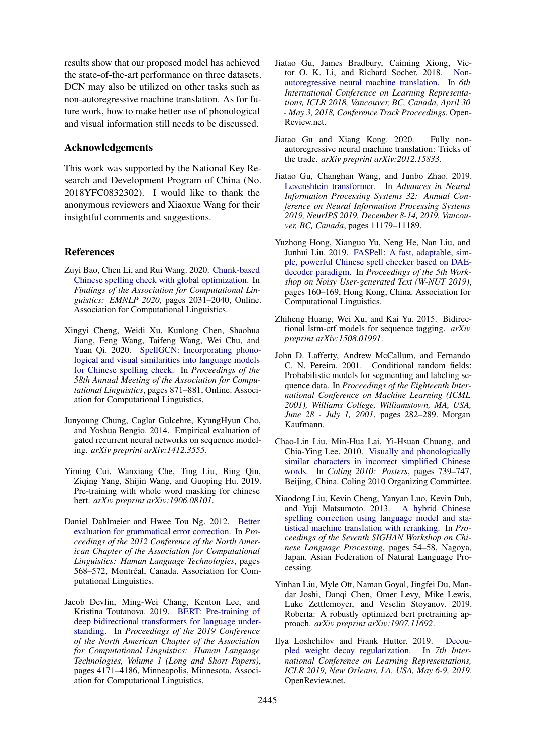results show that our proposed model has achieved the state-of-the-art performance on three datasets. DCN may also be utilized on other tasks such as non-autoregressive machine translation. As for future work, how to make better use of phonological and visual information still needs to be discussed.

# Acknowledgements

This work was supported by the National Key Research and Development Program of China (No. 2018YFC0832302). I would like to thank the anonymous reviewers and Xiaoxue Wang for their insightful comments and suggestions.

#### References

- <span id="page-8-11"></span>Zuyi Bao, Chen Li, and Rui Wang. 2020. [Chunk-based](https://doi.org/10.18653/v1/2020.findings-emnlp.184) [Chinese spelling check with global optimization.](https://doi.org/10.18653/v1/2020.findings-emnlp.184) In *Findings of the Association for Computational Linguistics: EMNLP 2020*, pages 2031–2040, Online. Association for Computational Linguistics.
- <span id="page-8-3"></span>Xingyi Cheng, Weidi Xu, Kunlong Chen, Shaohua Jiang, Feng Wang, Taifeng Wang, Wei Chu, and Yuan Qi. 2020. [SpellGCN: Incorporating phono](https://doi.org/10.18653/v1/2020.acl-main.81)[logical and visual similarities into language models](https://doi.org/10.18653/v1/2020.acl-main.81) [for Chinese spelling check.](https://doi.org/10.18653/v1/2020.acl-main.81) In *Proceedings of the 58th Annual Meeting of the Association for Computational Linguistics*, pages 871–881, Online. Association for Computational Linguistics.
- <span id="page-8-13"></span>Junyoung Chung, Caglar Gulcehre, KyungHyun Cho, and Yoshua Bengio. 2014. Empirical evaluation of gated recurrent neural networks on sequence modeling. *arXiv preprint arXiv:1412.3555*.
- <span id="page-8-8"></span>Yiming Cui, Wanxiang Che, Ting Liu, Bing Qin, Ziqing Yang, Shijin Wang, and Guoping Hu. 2019. Pre-training with whole word masking for chinese bert. *arXiv preprint arXiv:1906.08101*.
- <span id="page-8-10"></span>Daniel Dahlmeier and Hwee Tou Ng. 2012. [Better](https://www.aclweb.org/anthology/N12-1067) [evaluation for grammatical error correction.](https://www.aclweb.org/anthology/N12-1067) In *Proceedings of the 2012 Conference of the North American Chapter of the Association for Computational Linguistics: Human Language Technologies*, pages 568-572, Montréal, Canada. Association for Computational Linguistics.
- <span id="page-8-4"></span>Jacob Devlin, Ming-Wei Chang, Kenton Lee, and Kristina Toutanova. 2019. [BERT: Pre-training of](https://doi.org/10.18653/v1/N19-1423) [deep bidirectional transformers for language under](https://doi.org/10.18653/v1/N19-1423)[standing.](https://doi.org/10.18653/v1/N19-1423) In *Proceedings of the 2019 Conference of the North American Chapter of the Association for Computational Linguistics: Human Language Technologies, Volume 1 (Long and Short Papers)*, pages 4171–4186, Minneapolis, Minnesota. Association for Computational Linguistics.
- <span id="page-8-6"></span>Jiatao Gu, James Bradbury, Caiming Xiong, Victor O. K. Li, and Richard Socher. 2018. [Non](https://openreview.net/forum?id=B1l8BtlCb)[autoregressive neural machine translation.](https://openreview.net/forum?id=B1l8BtlCb) In *6th International Conference on Learning Representations, ICLR 2018, Vancouver, BC, Canada, April 30 - May 3, 2018, Conference Track Proceedings*. Open-Review.net.
- <span id="page-8-5"></span>Jiatao Gu and Xiang Kong. 2020. Fully nonautoregressive neural machine translation: Tricks of the trade. *arXiv preprint arXiv:2012.15833*.
- <span id="page-8-12"></span>Jiatao Gu, Changhan Wang, and Junbo Zhao. 2019. [Levenshtein transformer.](https://proceedings.neurips.cc/paper/2019/hash/675f9820626f5bc0afb47b57890b466e-Abstract.html) In *Advances in Neural Information Processing Systems 32: Annual Conference on Neural Information Processing Systems 2019, NeurIPS 2019, December 8-14, 2019, Vancouver, BC, Canada*, pages 11179–11189.
- <span id="page-8-0"></span>Yuzhong Hong, Xianguo Yu, Neng He, Nan Liu, and Junhui Liu. 2019. [FASPell: A fast, adaptable, sim](https://doi.org/10.18653/v1/D19-5522)[ple, powerful Chinese spell checker based on DAE](https://doi.org/10.18653/v1/D19-5522)[decoder paradigm.](https://doi.org/10.18653/v1/D19-5522) In *Proceedings of the 5th Workshop on Noisy User-generated Text (W-NUT 2019)*, pages 160–169, Hong Kong, China. Association for Computational Linguistics.
- <span id="page-8-14"></span>Zhiheng Huang, Wei Xu, and Kai Yu. 2015. Bidirectional lstm-crf models for sequence tagging. *arXiv preprint arXiv:1508.01991*.
- <span id="page-8-9"></span>John D. Lafferty, Andrew McCallum, and Fernando C. N. Pereira. 2001. Conditional random fields: Probabilistic models for segmenting and labeling sequence data. In *Proceedings of the Eighteenth International Conference on Machine Learning (ICML 2001), Williams College, Williamstown, MA, USA, June 28 - July 1, 2001*, pages 282–289. Morgan Kaufmann.
- <span id="page-8-1"></span>Chao-Lin Liu, Min-Hua Lai, Yi-Hsuan Chuang, and Chia-Ying Lee. 2010. [Visually and phonologically](https://www.aclweb.org/anthology/C10-2085) [similar characters in incorrect simplified Chinese](https://www.aclweb.org/anthology/C10-2085) [words.](https://www.aclweb.org/anthology/C10-2085) In *Coling 2010: Posters*, pages 739–747, Beijing, China. Coling 2010 Organizing Committee.
- <span id="page-8-2"></span>Xiaodong Liu, Kevin Cheng, Yanyan Luo, Kevin Duh, and Yuji Matsumoto. 2013. [A hybrid Chinese](https://www.aclweb.org/anthology/W13-4409) [spelling correction using language model and sta](https://www.aclweb.org/anthology/W13-4409)[tistical machine translation with reranking.](https://www.aclweb.org/anthology/W13-4409) In *Proceedings of the Seventh SIGHAN Workshop on Chinese Language Processing*, pages 54–58, Nagoya, Japan. Asian Federation of Natural Language Processing.
- <span id="page-8-7"></span>Yinhan Liu, Myle Ott, Naman Goyal, Jingfei Du, Mandar Joshi, Danqi Chen, Omer Levy, Mike Lewis, Luke Zettlemoyer, and Veselin Stoyanov. 2019. Roberta: A robustly optimized bert pretraining approach. *arXiv preprint arXiv:1907.11692*.
- <span id="page-8-15"></span>Ilya Loshchilov and Frank Hutter. 2019. [Decou](https://openreview.net/forum?id=Bkg6RiCqY7)[pled weight decay regularization.](https://openreview.net/forum?id=Bkg6RiCqY7) In *7th International Conference on Learning Representations, ICLR 2019, New Orleans, LA, USA, May 6-9, 2019*. OpenReview.net.